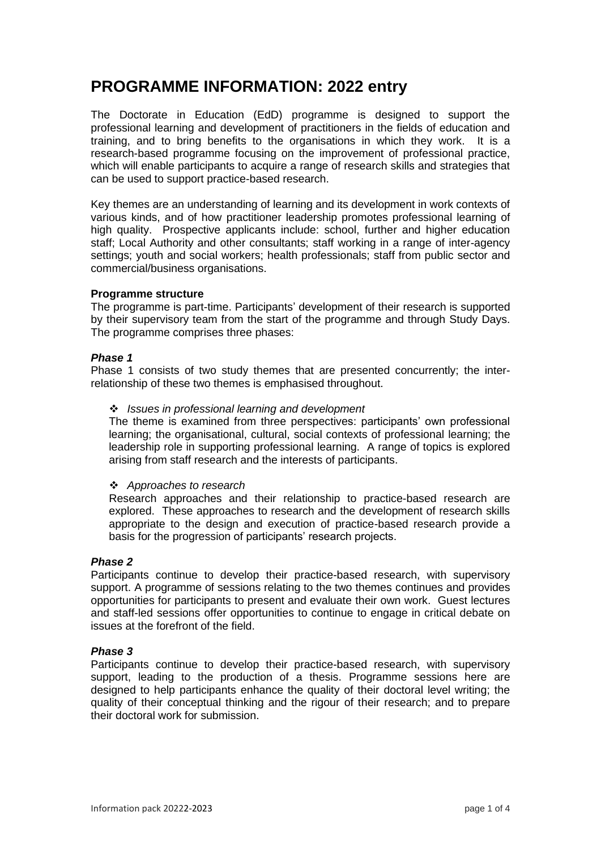# **PROGRAMME INFORMATION: 2022 entry**

The Doctorate in Education (EdD) programme is designed to support the professional learning and development of practitioners in the fields of education and training, and to bring benefits to the organisations in which they work. It is a research-based programme focusing on the improvement of professional practice, which will enable participants to acquire a range of research skills and strategies that can be used to support practice-based research.

Key themes are an understanding of learning and its development in work contexts of various kinds, and of how practitioner leadership promotes professional learning of high quality. Prospective applicants include: school, further and higher education staff; Local Authority and other consultants; staff working in a range of inter-agency settings; youth and social workers; health professionals; staff from public sector and commercial/business organisations.

#### **Programme structure**

The programme is part-time. Participants' development of their research is supported by their supervisory team from the start of the programme and through Study Days. The programme comprises three phases:

## *Phase 1*

Phase 1 consists of two study themes that are presented concurrently; the interrelationship of these two themes is emphasised throughout.

## ❖ *Issues in professional learning and development*

The theme is examined from three perspectives: participants' own professional learning; the organisational, cultural, social contexts of professional learning; the leadership role in supporting professional learning. A range of topics is explored arising from staff research and the interests of participants.

#### ❖ *Approaches to research*

Research approaches and their relationship to practice-based research are explored. These approaches to research and the development of research skills appropriate to the design and execution of practice-based research provide a basis for the progression of participants' research projects.

#### *Phase 2*

Participants continue to develop their practice-based research, with supervisory support. A programme of sessions relating to the two themes continues and provides opportunities for participants to present and evaluate their own work. Guest lectures and staff-led sessions offer opportunities to continue to engage in critical debate on issues at the forefront of the field.

#### *Phase 3*

Participants continue to develop their practice-based research, with supervisory support, leading to the production of a thesis. Programme sessions here are designed to help participants enhance the quality of their doctoral level writing; the quality of their conceptual thinking and the rigour of their research; and to prepare their doctoral work for submission.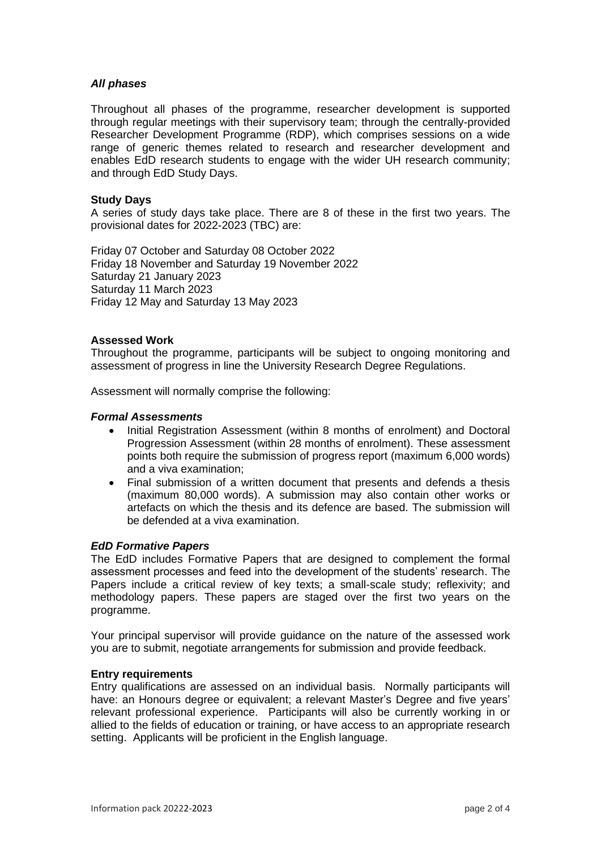## *All phases*

Throughout all phases of the programme, researcher development is supported through regular meetings with their supervisory team; through the centrally-provided Researcher Development Programme (RDP), which comprises sessions on a wide range of generic themes related to research and researcher development and enables EdD research students to engage with the wider UH research community; and through EdD Study Days.

## **Study Days**

A series of study days take place. There are 8 of these in the first two years. The provisional dates for 2022-2023 (TBC) are:

Friday 07 October and Saturday 08 October 2022 Friday 18 November and Saturday 19 November 2022 Saturday 21 January 2023 Saturday 11 March 2023 Friday 12 May and Saturday 13 May 2023

#### **Assessed Work**

Throughout the programme, participants will be subject to ongoing monitoring and assessment of progress in line the University Research Degree Regulations.

Assessment will normally comprise the following:

#### *Formal Assessments*

- Initial Registration Assessment (within 8 months of enrolment) and Doctoral Progression Assessment (within 28 months of enrolment). These assessment points both require the submission of progress report (maximum 6,000 words) and a viva examination;
- Final submission of a written document that presents and defends a thesis (maximum 80,000 words). A submission may also contain other works or artefacts on which the thesis and its defence are based. The submission will be defended at a viva examination.

#### *EdD Formative Papers*

The EdD includes Formative Papers that are designed to complement the formal assessment processes and feed into the development of the students' research. The Papers include a critical review of key texts; a small-scale study; reflexivity; and methodology papers. These papers are staged over the first two years on the programme.

Your principal supervisor will provide guidance on the nature of the assessed work you are to submit, negotiate arrangements for submission and provide feedback.

#### **Entry requirements**

Entry qualifications are assessed on an individual basis. Normally participants will have: an Honours degree or equivalent; a relevant Master's Degree and five years' relevant professional experience. Participants will also be currently working in or allied to the fields of education or training, or have access to an appropriate research setting. Applicants will be proficient in the English language.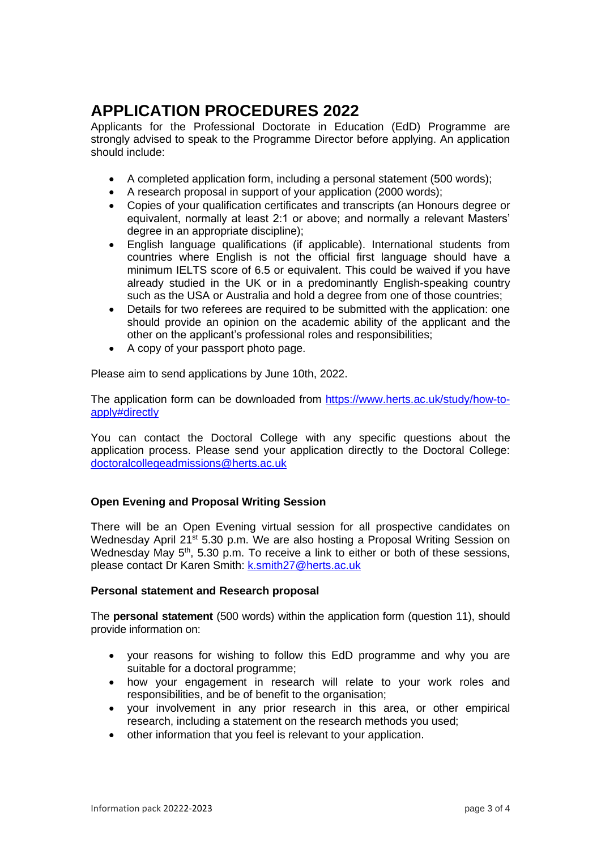# **APPLICATION PROCEDURES 2022**

Applicants for the Professional Doctorate in Education (EdD) Programme are strongly advised to speak to the Programme Director before applying. An application should include:

- A completed application form, including a personal statement (500 words);
- A research proposal in support of your application (2000 words);
- Copies of your qualification certificates and transcripts (an Honours degree or equivalent, normally at least 2:1 or above; and normally a relevant Masters' degree in an appropriate discipline);
- English language qualifications (if applicable). International students from countries where English is not the official first language should have a minimum IELTS score of 6.5 or equivalent. This could be waived if you have already studied in the UK or in a predominantly English-speaking country such as the USA or Australia and hold a degree from one of those countries;
- Details for two referees are required to be submitted with the application: one should provide an opinion on the academic ability of the applicant and the other on the applicant's professional roles and responsibilities;
- A copy of your passport photo page.

Please aim to send applications by June 10th, 2022.

The application form can be downloaded from [https://www.herts.ac.uk/study/how-to](https://www.herts.ac.uk/study/how-to-apply#directly)[apply#directly](https://www.herts.ac.uk/study/how-to-apply#directly)

You can contact the Doctoral College with any specific questions about the application process. Please send your application directly to the Doctoral College: [doctoralcollegeadmissions@herts.ac.uk](mailto:doctoralcollegeadmissions@herts.ac.uk)

# **Open Evening and Proposal Writing Session**

There will be an Open Evening virtual session for all prospective candidates on Wednesday April 21<sup>st</sup> 5.30 p.m. We are also hosting a Proposal Writing Session on Wednesday May  $5<sup>th</sup>$ , 5.30 p.m. To receive a link to either or both of these sessions, please contact Dr Karen Smith: [k.smith27@herts.ac.uk](mailto:k.smith27@herts.ac.uk)

# **Personal statement and Research proposal**

The **personal statement** (500 words) within the application form (question 11), should provide information on:

- your reasons for wishing to follow this EdD programme and why you are suitable for a doctoral programme;
- how your engagement in research will relate to your work roles and responsibilities, and be of benefit to the organisation;
- your involvement in any prior research in this area, or other empirical research, including a statement on the research methods you used;
- other information that you feel is relevant to your application.